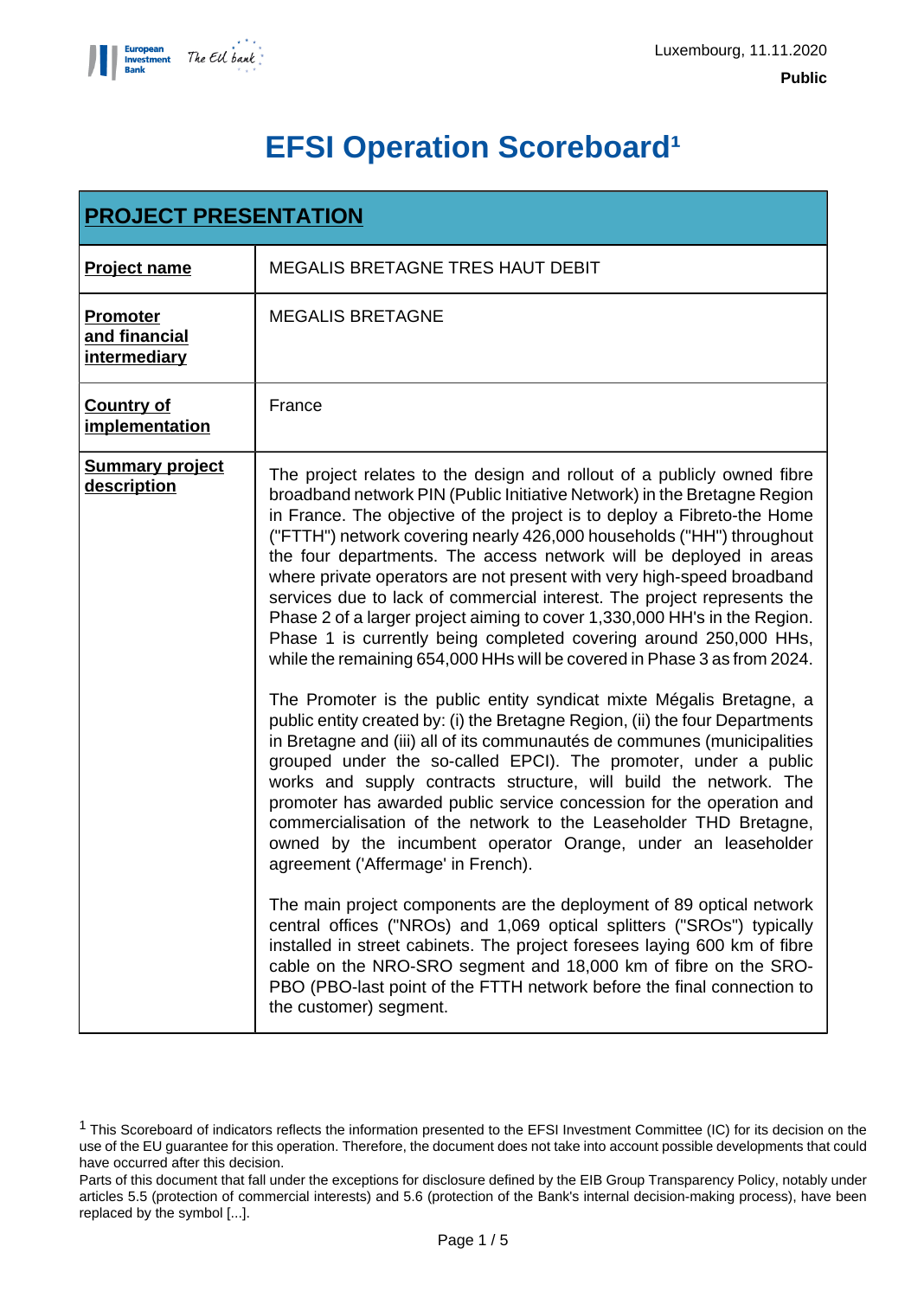

# **EFSI Operation Scoreboard<sup>1</sup>**

| <b>PROJECT PRESENTATION</b>                      |                                                                                                                                                                                                                                                                                                                                                                                                                                                                                                                                                                                                                                                                                                                                                                                                                                                                                                                                                                                                                                                                                                                                                                                                                                                                                                                                                                                                                                                                                                                                                                                                                                                                                                                                                                                                       |  |  |
|--------------------------------------------------|-------------------------------------------------------------------------------------------------------------------------------------------------------------------------------------------------------------------------------------------------------------------------------------------------------------------------------------------------------------------------------------------------------------------------------------------------------------------------------------------------------------------------------------------------------------------------------------------------------------------------------------------------------------------------------------------------------------------------------------------------------------------------------------------------------------------------------------------------------------------------------------------------------------------------------------------------------------------------------------------------------------------------------------------------------------------------------------------------------------------------------------------------------------------------------------------------------------------------------------------------------------------------------------------------------------------------------------------------------------------------------------------------------------------------------------------------------------------------------------------------------------------------------------------------------------------------------------------------------------------------------------------------------------------------------------------------------------------------------------------------------------------------------------------------------|--|--|
| <b>Project name</b>                              | <b>MEGALIS BRETAGNE TRES HAUT DEBIT</b>                                                                                                                                                                                                                                                                                                                                                                                                                                                                                                                                                                                                                                                                                                                                                                                                                                                                                                                                                                                                                                                                                                                                                                                                                                                                                                                                                                                                                                                                                                                                                                                                                                                                                                                                                               |  |  |
| <b>Promoter</b><br>and financial<br>intermediary | <b>MEGALIS BRETAGNE</b>                                                                                                                                                                                                                                                                                                                                                                                                                                                                                                                                                                                                                                                                                                                                                                                                                                                                                                                                                                                                                                                                                                                                                                                                                                                                                                                                                                                                                                                                                                                                                                                                                                                                                                                                                                               |  |  |
| <b>Country of</b><br>implementation              | France                                                                                                                                                                                                                                                                                                                                                                                                                                                                                                                                                                                                                                                                                                                                                                                                                                                                                                                                                                                                                                                                                                                                                                                                                                                                                                                                                                                                                                                                                                                                                                                                                                                                                                                                                                                                |  |  |
| <b>Summary project</b><br>description            | The project relates to the design and rollout of a publicly owned fibre<br>broadband network PIN (Public Initiative Network) in the Bretagne Region<br>in France. The objective of the project is to deploy a Fibreto-the Home<br>("FTTH") network covering nearly 426,000 households ("HH") throughout<br>the four departments. The access network will be deployed in areas<br>where private operators are not present with very high-speed broadband<br>services due to lack of commercial interest. The project represents the<br>Phase 2 of a larger project aiming to cover 1,330,000 HH's in the Region.<br>Phase 1 is currently being completed covering around 250,000 HHs,<br>while the remaining 654,000 HHs will be covered in Phase 3 as from 2024.<br>The Promoter is the public entity syndicat mixte Mégalis Bretagne, a<br>public entity created by: (i) the Bretagne Region, (ii) the four Departments<br>in Bretagne and (iii) all of its communautés de communes (municipalities<br>grouped under the so-called EPCI). The promoter, under a public<br>works and supply contracts structure, will build the network. The<br>promoter has awarded public service concession for the operation and<br>commercialisation of the network to the Leaseholder THD Bretagne,<br>owned by the incumbent operator Orange, under an leaseholder<br>agreement ('Affermage' in French).<br>The main project components are the deployment of 89 optical network<br>central offices ("NROs) and 1,069 optical splitters ("SROs") typically<br>installed in street cabinets. The project foresees laying 600 km of fibre<br>cable on the NRO-SRO segment and 18,000 km of fibre on the SRO-<br>PBO (PBO-last point of the FTTH network before the final connection to<br>the customer) segment. |  |  |

<sup>1</sup> This Scoreboard of indicators reflects the information presented to the EFSI Investment Committee (IC) for its decision on the use of the EU guarantee for this operation. Therefore, the document does not take into account possible developments that could have occurred after this decision.

Parts of this document that fall under the exceptions for disclosure defined by the EIB Group Transparency Policy, notably under articles 5.5 (protection of commercial interests) and 5.6 (protection of the Bank's internal decision-making process), have been replaced by the symbol [...].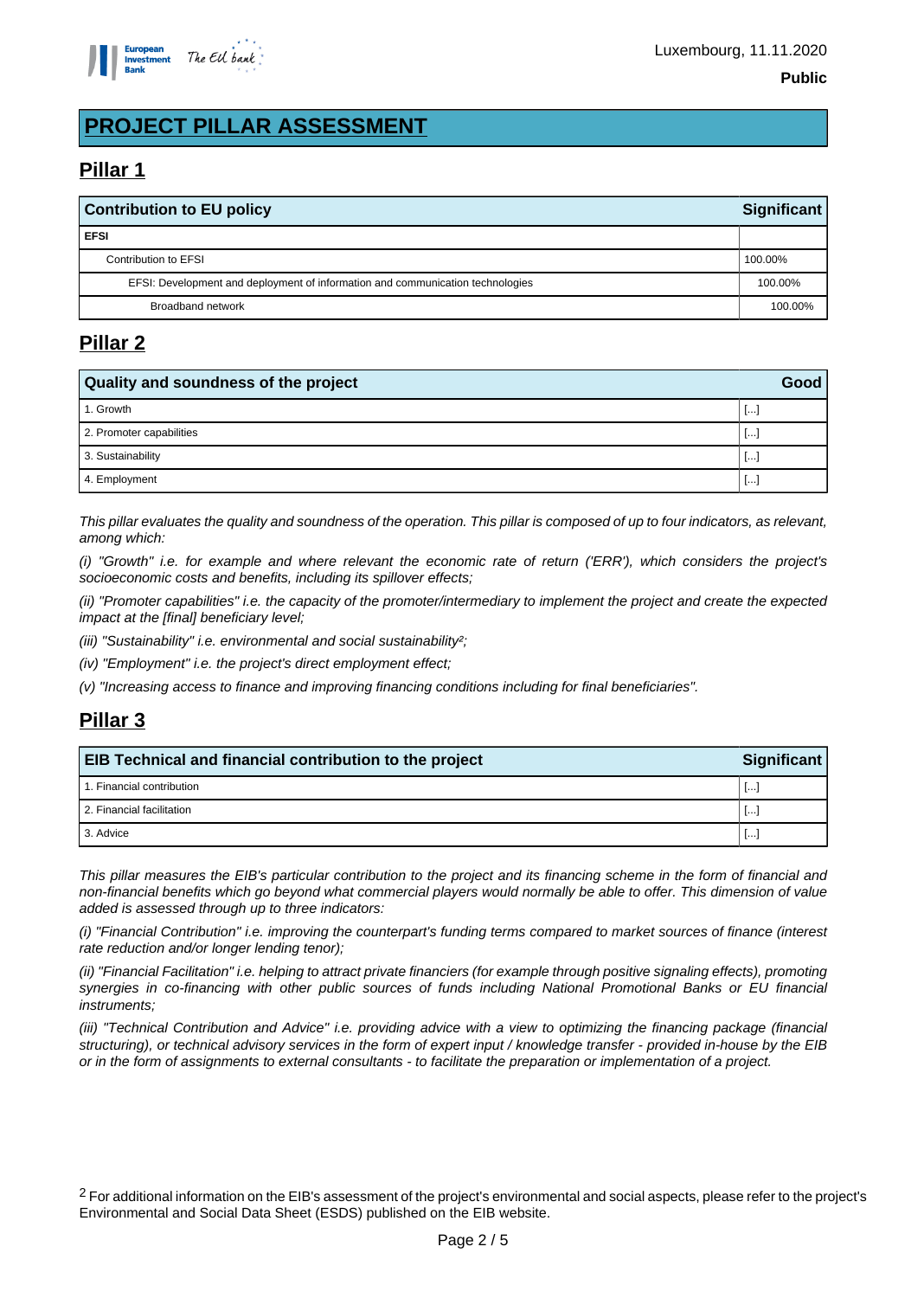

## **PROJECT PILLAR ASSESSMENT**

## **Pillar 1**

| <b>Contribution to EU policy</b><br>Significant                                |         |  |
|--------------------------------------------------------------------------------|---------|--|
| <b>EFSI</b>                                                                    |         |  |
| Contribution to EFSI                                                           | 100.00% |  |
| EFSI: Development and deployment of information and communication technologies | 100.00% |  |
| Broadband network                                                              | 100.00% |  |

## **Pillar 2**

| Quality and soundness of the project |        |  |
|--------------------------------------|--------|--|
| 1. Growth                            | ĿH.    |  |
| 2. Promoter capabilities             | ĿH.    |  |
| 3. Sustainability                    | ا ۱۰۰۰ |  |
| 4. Employment                        | 1.     |  |

This pillar evaluates the quality and soundness of the operation. This pillar is composed of up to four indicators, as relevant, among which:

(i) "Growth" i.e. for example and where relevant the economic rate of return ('ERR'), which considers the project's socioeconomic costs and benefits, including its spillover effects;

(ii) "Promoter capabilities" i.e. the capacity of the promoter/intermediary to implement the project and create the expected impact at the [final] beneficiary level;

(iii) "Sustainability" i.e. environmental and social sustainability<sup>2</sup>;

(iv) "Employment" i.e. the project's direct employment effect;

(v) "Increasing access to finance and improving financing conditions including for final beneficiaries".

## **Pillar 3**

| Significant<br><b>EIB Technical and financial contribution to the project</b> |          |  |
|-------------------------------------------------------------------------------|----------|--|
| 1. Financial contribution                                                     | $\cdots$ |  |
| 2. Financial facilitation                                                     | .        |  |
| 3. Advice                                                                     | $\cdots$ |  |

This pillar measures the EIB's particular contribution to the project and its financing scheme in the form of financial and non-financial benefits which go beyond what commercial players would normally be able to offer. This dimension of value added is assessed through up to three indicators:

(i) "Financial Contribution" i.e. improving the counterpart's funding terms compared to market sources of finance (interest rate reduction and/or longer lending tenor);

(ii) "Financial Facilitation" i.e. helping to attract private financiers (for example through positive signaling effects), promoting synergies in co-financing with other public sources of funds including National Promotional Banks or EU financial instruments;

(iii) "Technical Contribution and Advice" i.e. providing advice with a view to optimizing the financing package (financial structuring), or technical advisory services in the form of expert input / knowledge transfer - provided in-house by the EIB or in the form of assignments to external consultants - to facilitate the preparation or implementation of a project.

<sup>2</sup> For additional information on the EIB's assessment of the project's environmental and social aspects, please refer to the project's Environmental and Social Data Sheet (ESDS) published on the EIB website.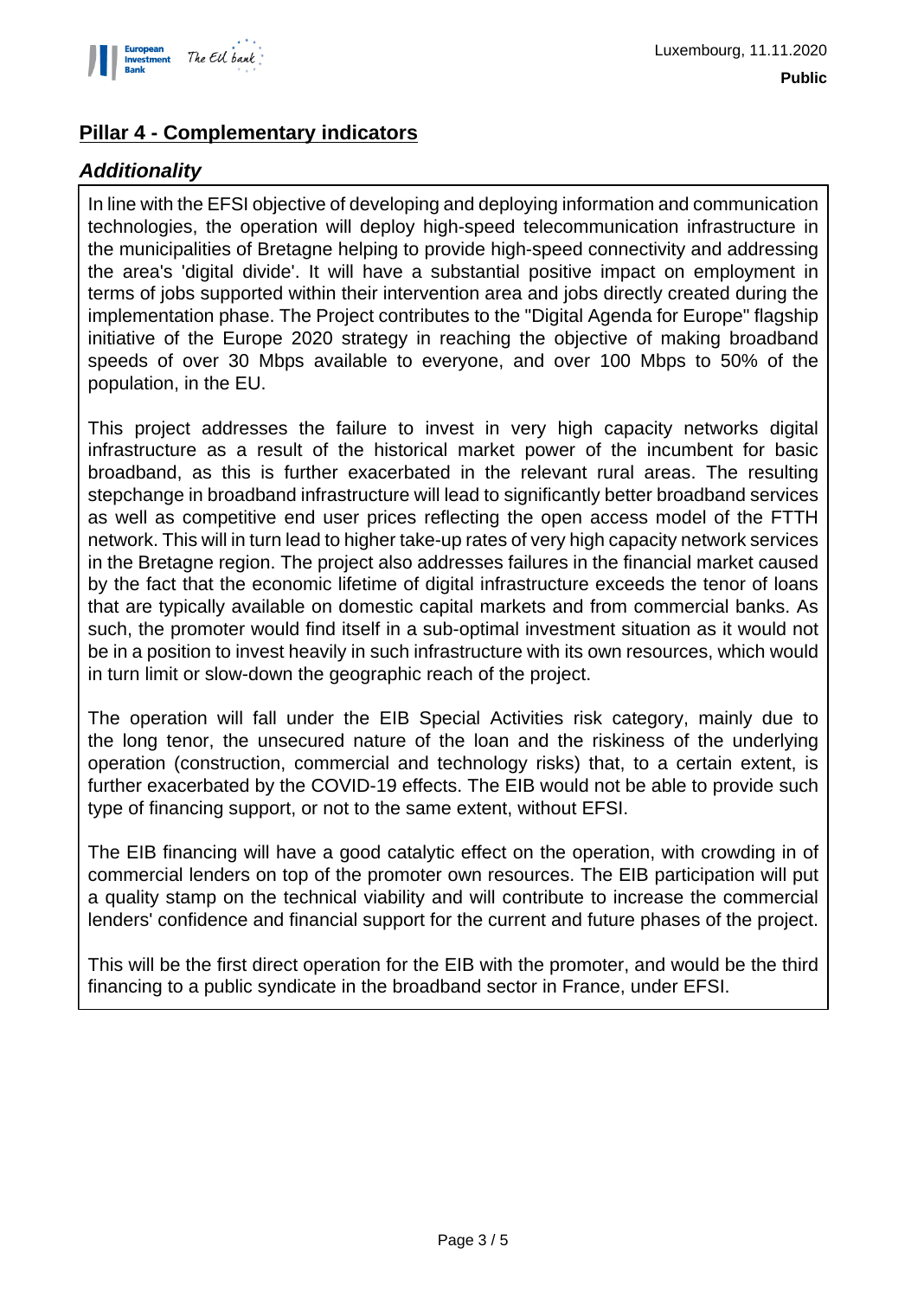

## **Pillar 4 - Complementary indicators**

## **Additionality**

In line with the EFSI objective of developing and deploying information and communication technologies, the operation will deploy high-speed telecommunication infrastructure in the municipalities of Bretagne helping to provide high-speed connectivity and addressing the area's 'digital divide'. It will have a substantial positive impact on employment in terms of jobs supported within their intervention area and jobs directly created during the implementation phase. The Project contributes to the "Digital Agenda for Europe" flagship initiative of the Europe 2020 strategy in reaching the objective of making broadband speeds of over 30 Mbps available to everyone, and over 100 Mbps to 50% of the population, in the EU.

This project addresses the failure to invest in very high capacity networks digital infrastructure as a result of the historical market power of the incumbent for basic broadband, as this is further exacerbated in the relevant rural areas. The resulting stepchange in broadband infrastructure will lead to significantly better broadband services as well as competitive end user prices reflecting the open access model of the FTTH network. This will in turn lead to higher take-up rates of very high capacity network services in the Bretagne region. The project also addresses failures in the financial market caused by the fact that the economic lifetime of digital infrastructure exceeds the tenor of loans that are typically available on domestic capital markets and from commercial banks. As such, the promoter would find itself in a sub-optimal investment situation as it would not be in a position to invest heavily in such infrastructure with its own resources, which would in turn limit or slow-down the geographic reach of the project.

The operation will fall under the EIB Special Activities risk category, mainly due to the long tenor, the unsecured nature of the loan and the riskiness of the underlying operation (construction, commercial and technology risks) that, to a certain extent, is further exacerbated by the COVID-19 effects. The EIB would not be able to provide such type of financing support, or not to the same extent, without EFSI.

The EIB financing will have a good catalytic effect on the operation, with crowding in of commercial lenders on top of the promoter own resources. The EIB participation will put a quality stamp on the technical viability and will contribute to increase the commercial lenders' confidence and financial support for the current and future phases of the project.

This will be the first direct operation for the EIB with the promoter, and would be the third financing to a public syndicate in the broadband sector in France, under EFSI.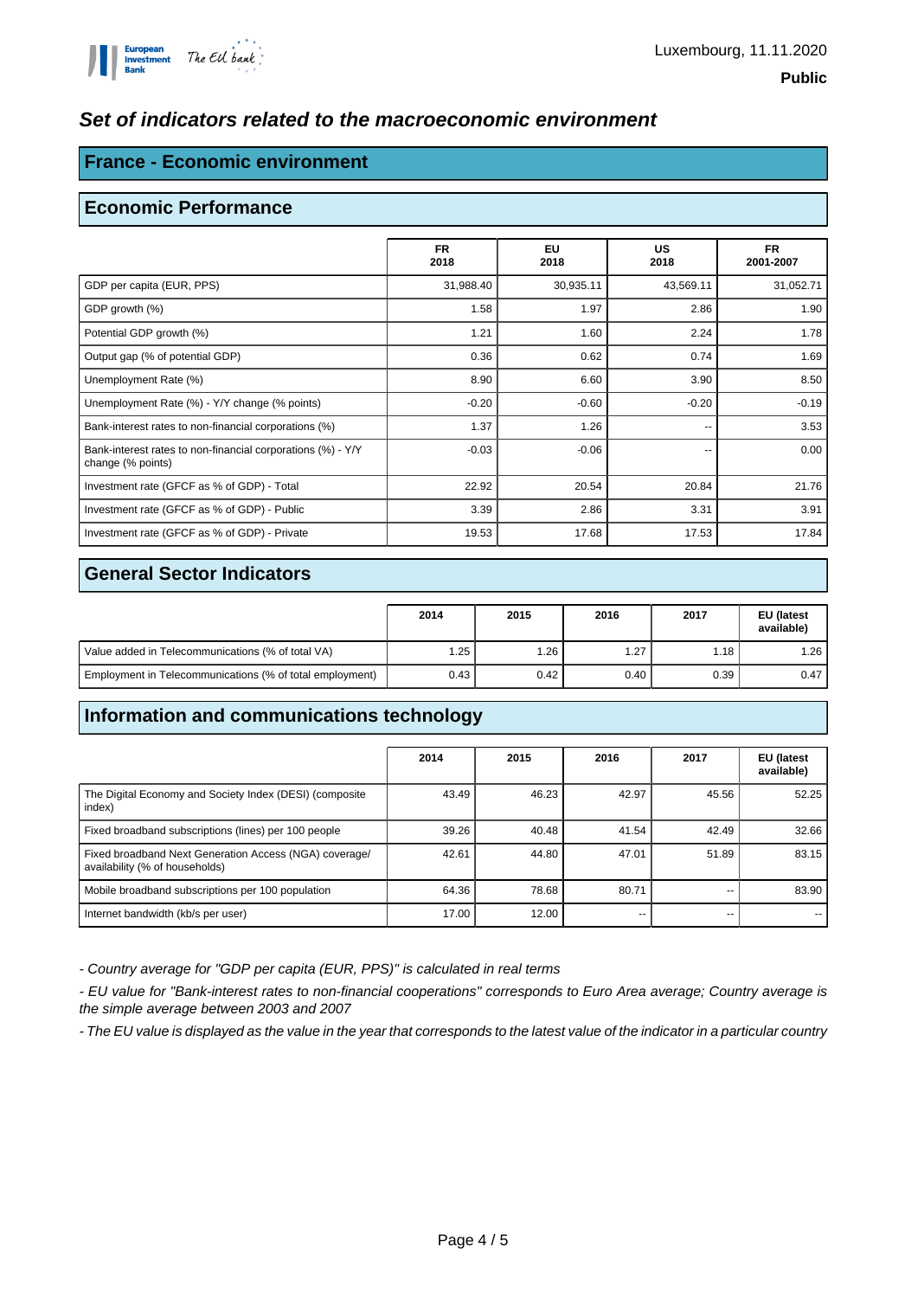### **Set of indicators related to the macroeconomic environment**

### **France - Economic environment**

#### **Economic Performance**

|                                                                                  | <b>FR</b><br>2018 | <b>EU</b><br>2018 | <b>US</b><br>2018 | <b>FR</b><br>2001-2007 |
|----------------------------------------------------------------------------------|-------------------|-------------------|-------------------|------------------------|
| GDP per capita (EUR, PPS)                                                        | 31,988.40         | 30,935.11         | 43,569.11         | 31,052.71              |
| GDP growth (%)                                                                   | 1.58              | 1.97              | 2.86              | 1.90                   |
| Potential GDP growth (%)                                                         | 1.21              | 1.60              | 2.24              | 1.78                   |
| Output gap (% of potential GDP)                                                  | 0.36              | 0.62              | 0.74              | 1.69                   |
| Unemployment Rate (%)                                                            | 8.90              | 6.60              | 3.90              | 8.50                   |
| Unemployment Rate (%) - Y/Y change (% points)                                    | $-0.20$           | $-0.60$           | $-0.20$           | $-0.19$                |
| Bank-interest rates to non-financial corporations (%)                            | 1.37              | 1.26              | --                | 3.53                   |
| Bank-interest rates to non-financial corporations (%) - Y/Y<br>change (% points) | $-0.03$           | $-0.06$           | --                | 0.00                   |
| Investment rate (GFCF as % of GDP) - Total                                       | 22.92             | 20.54             | 20.84             | 21.76                  |
| Investment rate (GFCF as % of GDP) - Public                                      | 3.39              | 2.86              | 3.31              | 3.91                   |
| Investment rate (GFCF as % of GDP) - Private                                     | 19.53             | 17.68             | 17.53             | 17.84                  |

#### **General Sector Indicators**

|                                                          | 2014 | 2015 | 2016 | 2017 | <b>EU</b> (latest<br>available) |
|----------------------------------------------------------|------|------|------|------|---------------------------------|
| Value added in Telecommunications (% of total VA)        | ۔ 25 | 1.26 | 1.27 | 1.18 | ا 26.،                          |
| Employment in Telecommunications (% of total employment) | 0.43 | 0.42 | 0.40 | 0.39 | 0.47                            |

## **Information and communications technology**

|                                                                                          | 2014  | 2015  | 2016  | 2017  | EU (latest<br>available) |
|------------------------------------------------------------------------------------------|-------|-------|-------|-------|--------------------------|
| The Digital Economy and Society Index (DESI) (composite<br>index)                        | 43.49 | 46.23 | 42.97 | 45.56 | 52.25                    |
| Fixed broadband subscriptions (lines) per 100 people                                     | 39.26 | 40.48 | 41.54 | 42.49 | 32.66                    |
| Fixed broadband Next Generation Access (NGA) coverage/<br>availability (% of households) | 42.61 | 44.80 | 47.01 | 51.89 | 83.15                    |
| Mobile broadband subscriptions per 100 population                                        | 64.36 | 78.68 | 80.71 |       | 83.90                    |
| Internet bandwidth (kb/s per user)                                                       | 17.00 | 12.00 | --    |       |                          |

- Country average for "GDP per capita (EUR, PPS)" is calculated in real terms

- EU value for "Bank-interest rates to non-financial cooperations" corresponds to Euro Area average; Country average is the simple average between 2003 and 2007

- The EU value is displayed as the value in the year that corresponds to the latest value of the indicator in a particular country